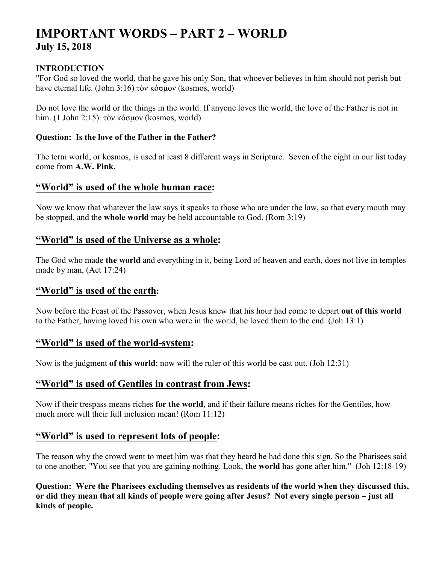# **IMPORTANT WORDS – PART 2 – WORLD July 15, 2018**

#### **INTRODUCTION**

"For God so loved the world, that he gave his only Son, that whoever believes in him should not perish but have eternal life. (John 3:16) τὸν κόσμον (kosmos, world)

Do not love the world or the things in the world. If anyone loves the world, the love of the Father is not in him. (1 John 2:15) τὸν κόσμον (kosmos, world)

#### **Question: Is the love of the Father in the Father?**

The term world, or kosmos, is used at least 8 different ways in Scripture. Seven of the eight in our list today come from **A.W. Pink.**

# **"World" is used of the whole human race:**

Now we know that whatever the law says it speaks to those who are under the law, so that every mouth may be stopped, and the **whole world** may be held accountable to God. (Rom 3:19)

# **"World" is used of the Universe as a whole:**

The God who made **the world** and everything in it, being Lord of heaven and earth, does not live in temples made by man, (Act 17:24)

# **"World" is used of the earth:**

Now before the Feast of the Passover, when Jesus knew that his hour had come to depart **out of this world** to the Father, having loved his own who were in the world, he loved them to the end. (Joh 13:1)

#### **"World" is used of the world-system:**

Now is the judgment **of this world**; now will the ruler of this world be cast out. (Joh 12:31)

# **"World" is used of Gentiles in contrast from Jews:**

Now if their trespass means riches **for the world**, and if their failure means riches for the Gentiles, how much more will their full inclusion mean! (Rom 11:12)

# **"World" is used to represent lots of people:**

The reason why the crowd went to meet him was that they heard he had done this sign. So the Pharisees said to one another, "You see that you are gaining nothing. Look, **the world** has gone after him." (Joh 12:18-19)

**Question: Were the Pharisees excluding themselves as residents of the world when they discussed this, or did they mean that all kinds of people were going after Jesus? Not every single person – just all kinds of people.**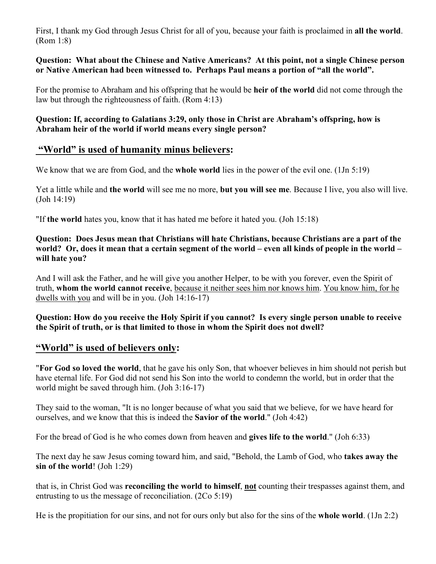First, I thank my God through Jesus Christ for all of you, because your faith is proclaimed in **all the world**. (Rom 1:8)

**Question: What about the Chinese and Native Americans? At this point, not a single Chinese person or Native American had been witnessed to. Perhaps Paul means a portion of "all the world".** 

For the promise to Abraham and his offspring that he would be **heir of the world** did not come through the law but through the righteousness of faith. (Rom 4:13)

**Question: If, according to Galatians 3:29, only those in Christ are Abraham's offspring, how is Abraham heir of the world if world means every single person?** 

# **"World" is used of humanity minus believers:**

We know that we are from God, and the **whole world** lies in the power of the evil one. (1Jn 5:19)

Yet a little while and **the world** will see me no more, **but you will see me**. Because I live, you also will live. (Joh 14:19)

"If **the world** hates you, know that it has hated me before it hated you. (Joh 15:18)

**Question: Does Jesus mean that Christians will hate Christians, because Christians are a part of the world? Or, does it mean that a certain segment of the world – even all kinds of people in the world – will hate you?** 

And I will ask the Father, and he will give you another Helper, to be with you forever, even the Spirit of truth, **whom the world cannot receive**, because it neither sees him nor knows him. You know him, for he dwells with you and will be in you. (Joh 14:16-17)

**Question: How do you receive the Holy Spirit if you cannot? Is every single person unable to receive the Spirit of truth, or is that limited to those in whom the Spirit does not dwell?** 

# **"World" is used of believers only:**

"**For God so loved the world**, that he gave his only Son, that whoever believes in him should not perish but have eternal life. For God did not send his Son into the world to condemn the world, but in order that the world might be saved through him. (Joh 3:16-17)

They said to the woman, "It is no longer because of what you said that we believe, for we have heard for ourselves, and we know that this is indeed the **Savior of the world**." (Joh 4:42)

For the bread of God is he who comes down from heaven and **gives life to the world**." (Joh 6:33)

The next day he saw Jesus coming toward him, and said, "Behold, the Lamb of God, who **takes away the sin of the world**! (Joh 1:29)

that is, in Christ God was **reconciling the world to himself**, **not** counting their trespasses against them, and entrusting to us the message of reconciliation. (2Co 5:19)

He is the propitiation for our sins, and not for ours only but also for the sins of the **whole world**. (1Jn 2:2)